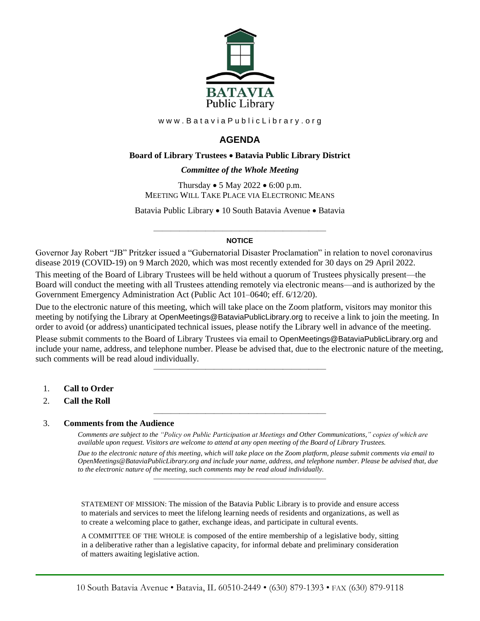

www.BataviaPublicLibrary.org

# **AGENDA**

### **Board of Library Trustees** • **Batavia Public Library District**

*0BCommittee of the Whole Meeting*

Thursday • 5 May 2022 • 6:00 p.m. MEETING WILL TAKE PLACE VIA ELECTRONIC MEANS

Batavia Public Library • 10 South Batavia Avenue • Batavia

#### ———————————————————— **NOTICE**

Governor Jay Robert "JB" Pritzker issued a "Gubernatorial Disaster Proclamation" in relation to novel coronavirus disease 2019 (COVID-19) on 9 March 2020, which was most recently extended for 30 days on 29 April 2022. This meeting of the Board of Library Trustees will be held without a quorum of Trustees physically present—the Board will conduct the meeting with all Trustees attending remotely via electronic means—and is authorized by the Government Emergency Administration Act (Public Act 101–0640; eff. 6/12/20).

Due to the electronic nature of this meeting, which will take place on the Zoom platform, visitors may monitor this meeting by notifying the Library at OpenMeetings@BataviaPublicLibrary.org to receive a link to join the meeting. In order to avoid (or address) unanticipated technical issues, please notify the Library well in advance of the meeting.

Please submit comments to the Board of Library Trustees via email to OpenMeetings@BataviaPublicLibrary.org and include your name, address, and telephone number. Please be advised that, due to the electronic nature of the meeting, such comments will be read aloud individually.

————————————————————

————————————————————

- 1. **Call to Order**
- 2. **Call the Roll**

#### 3. **Comments from the Audience**

*Comments are subject to the "Policy on Public Participation at Meetings and Other Communications," copies of which are available upon request. Visitors are welcome to attend at any open meeting of the Board of Library Trustees.*

*Due to the electronic nature of this meeting, which will take place on the Zoom platform, please submit comments via email to OpenMeetings@BataviaPublicLibrary.org and include your name, address, and telephone number. Please be advised that, due to the electronic nature of the meeting, such comments may be read aloud individually.*

STATEMENT OF MISSION: The mission of the Batavia Public Library is to provide and ensure access to materials and services to meet the lifelong learning needs of residents and organizations, as well as to create a welcoming place to gather, exchange ideas, and participate in cultural events.

————————————————————

A COMMITTEE OF THE WHOLE is composed of the entire membership of a legislative body, sitting in a deliberative rather than a legislative capacity, for informal debate and preliminary consideration of matters awaiting legislative action.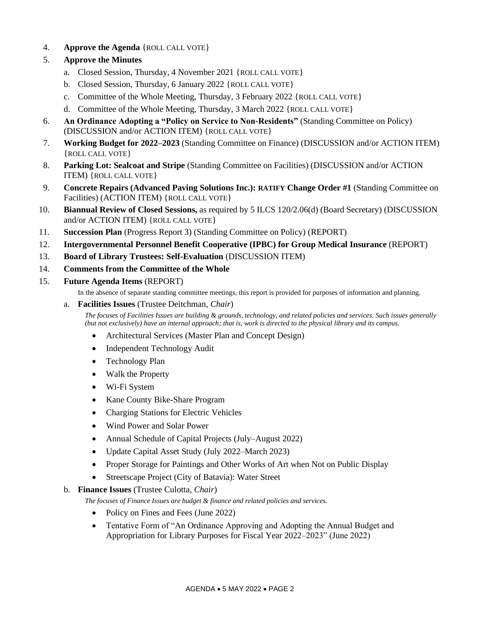4. **Approve the Agenda** {ROLL CALL VOTE}

# 5. **Approve the Minutes**

- a. Closed Session, Thursday, 4 November 2021 {ROLL CALL VOTE}
- b. Closed Session, Thursday, 6 January 2022 {ROLL CALL VOTE}
- c. Committee of the Whole Meeting, Thursday, 3 February 2022 {ROLL CALL VOTE}
- d. Committee of the Whole Meeting, Thursday, 3 March 2022 {ROLL CALL VOTE}
- 6. **An Ordinance Adopting a "Policy on Service to Non-Residents"** (Standing Committee on Policy) (DISCUSSION and/or ACTION ITEM) {ROLL CALL VOTE}
- 7. **Working Budget for 2022–2023** (Standing Committee on Finance) (DISCUSSION and/or ACTION ITEM) {ROLL CALL VOTE}
- 8. **Parking Lot: Sealcoat and Stripe** (Standing Committee on Facilities) (DISCUSSION and/or ACTION ITEM) {ROLL CALL VOTE}
- 9. **Concrete Repairs (Advanced Paving Solutions Inc.): RATIFY Change Order #1** (Standing Committee on Facilities) (ACTION ITEM) {ROLL CALL VOTE}
- 10. **Biannual Review of Closed Sessions,** as required by 5 ILCS 120/2.06(d) (Board Secretary) (DISCUSSION and/or ACTION ITEM) {ROLL CALL VOTE}
- 11. **Succession Plan** (Progress Report 3) (Standing Committee on Policy) (REPORT)
- 12. **Intergovernmental Personnel Benefit Cooperative (IPBC) for Group Medical Insurance** (REPORT)
- 13. **Board of Library Trustees: Self-Evaluation** (DISCUSSION ITEM)
- 14. **Comments from the Committee of the Whole**
- 15. **Future Agenda Items** (REPORT)

In the absence of separate standing committee meetings, this report is provided for purposes of information and planning.

### a. **Facilities Issues** (Trustee Deitchman, *Chair*)

*The focuses of Facilities Issues are building & grounds, technology, and related policies and services. Such issues generally (but not exclusively) have an internal approach; that is, work is directed to the physical library and its campus.*

- Architectural Services (Master Plan and Concept Design)
- Independent Technology Audit
- Technology Plan
- Walk the Property
- Wi-Fi System
- Kane County Bike-Share Program
- Charging Stations for Electric Vehicles
- Wind Power and Solar Power
- Annual Schedule of Capital Projects (July–August 2022)
- Update Capital Asset Study (July 2022–March 2023)
- Proper Storage for Paintings and Other Works of Art when Not on Public Display
- Streetscape Project (City of Batavia): Water Street

### b. **Finance Issues** (Trustee Culotta, *Chair*)

*The focuses of Finance Issues are budget & finance and related policies and services.*

- Policy on Fines and Fees (June 2022)
- Tentative Form of "An Ordinance Approving and Adopting the Annual Budget and Appropriation for Library Purposes for Fiscal Year 2022–2023" (June 2022)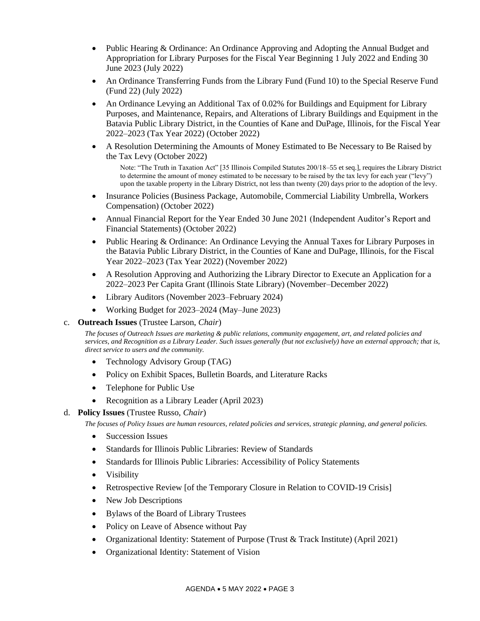- Public Hearing & Ordinance: An Ordinance Approving and Adopting the Annual Budget and Appropriation for Library Purposes for the Fiscal Year Beginning 1 July 2022 and Ending 30 June 2023 (July 2022)
- An Ordinance Transferring Funds from the Library Fund (Fund 10) to the Special Reserve Fund (Fund 22) (July 2022)
- An Ordinance Levying an Additional Tax of 0.02% for Buildings and Equipment for Library Purposes, and Maintenance, Repairs, and Alterations of Library Buildings and Equipment in the Batavia Public Library District, in the Counties of Kane and DuPage, Illinois, for the Fiscal Year 2022–2023 (Tax Year 2022) (October 2022)
- A Resolution Determining the Amounts of Money Estimated to Be Necessary to Be Raised by the Tax Levy (October 2022)

Note: "The Truth in Taxation Act" [35 Illinois Compiled Statutes 200/18–55 et seq.], requires the Library District to determine the amount of money estimated to be necessary to be raised by the tax levy for each year ("levy") upon the taxable property in the Library District, not less than twenty (20) days prior to the adoption of the levy.

- Insurance Policies (Business Package, Automobile, Commercial Liability Umbrella, Workers Compensation) (October 2022)
- Annual Financial Report for the Year Ended 30 June 2021 (Independent Auditor's Report and Financial Statements) (October 2022)
- Public Hearing & Ordinance: An Ordinance Levying the Annual Taxes for Library Purposes in the Batavia Public Library District, in the Counties of Kane and DuPage, Illinois, for the Fiscal Year 2022–2023 (Tax Year 2022) (November 2022)
- A Resolution Approving and Authorizing the Library Director to Execute an Application for a 2022–2023 Per Capita Grant (Illinois State Library) (November–December 2022)
- Library Auditors (November 2023–February 2024)
- Working Budget for 2023–2024 (May–June 2023)

### c. **Outreach Issues** (Trustee Larson, *Chair*)

*The focuses of Outreach Issues are marketing & public relations, community engagement, art, and related policies and services, and Recognition as a Library Leader. Such issues generally (but not exclusively) have an external approach; that is, direct service to users and the community.*

- Technology Advisory Group (TAG)
- Policy on Exhibit Spaces, Bulletin Boards, and Literature Racks
- Telephone for Public Use
- Recognition as a Library Leader (April 2023)

### d. **Policy Issues** (Trustee Russo, *Chair*)

*The focuses of Policy Issues are human resources, related policies and services, strategic planning, and general policies.*

- Succession Issues
- Standards for Illinois Public Libraries: Review of Standards
- Standards for Illinois Public Libraries: Accessibility of Policy Statements
- Visibility
- Retrospective Review [of the Temporary Closure in Relation to COVID-19 Crisis]
- New Job Descriptions
- Bylaws of the Board of Library Trustees
- Policy on Leave of Absence without Pay
- Organizational Identity: Statement of Purpose (Trust & Track Institute) (April 2021)
- Organizational Identity: Statement of Vision